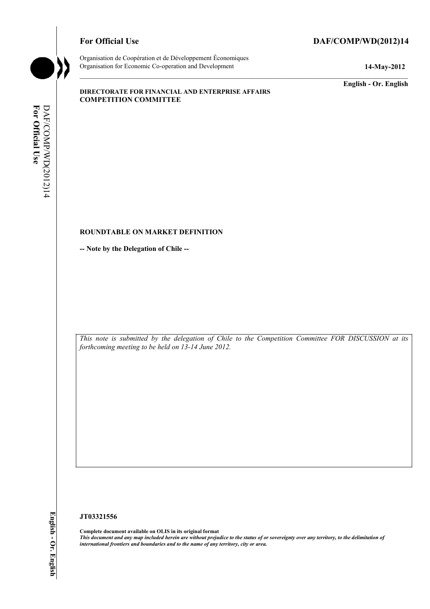## For Official Use DAF/COMP/WD(2012)14



Organisation de Coopération et de Développement Économiques Organisation for Economic Co-operation and Development **14-May-2012** 

**English - Or. English** 

#### **DIRECTORATE FOR FINANCIAL AND ENTERPRISE AFFAIRS COMPETITION COMMITTEE**

#### **ROUNDTABLE ON MARKET DEFINITION**

**-- Note by the Delegation of Chile --** 

*This note is submitted by the delegation of Chile to the Competition Committee FOR DISCUSSION at its forthcoming meeting to be held on 13-14 June 2012.* 

#### **JT03321556**

**Complete document available on OLIS in its original format** *This document and any map included herein are without prejudice to the status of or sovereignty over any territory, to the delimitation of international frontiers and boundaries and to the name of any territory, city or area.*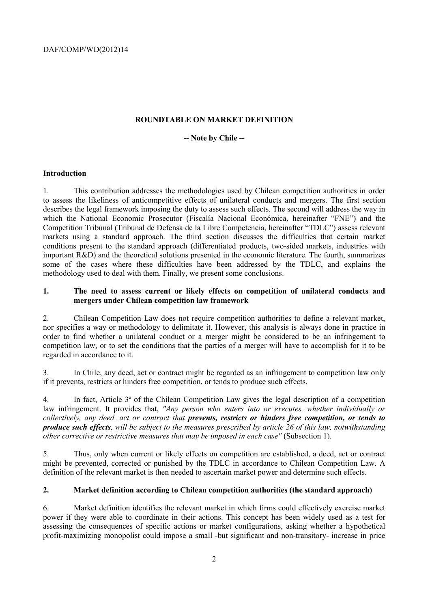## **ROUNDTABLE ON MARKET DEFINITION**

#### **-- Note by Chile --**

#### **Introduction**

1. This contribution addresses the methodologies used by Chilean competition authorities in order to assess the likeliness of anticompetitive effects of unilateral conducts and mergers. The first section describes the legal framework imposing the duty to assess such effects. The second will address the way in which the National Economic Prosecutor (Fiscalía Nacional Económica, hereinafter "FNE") and the Competition Tribunal (Tribunal de Defensa de la Libre Competencia, hereinafter "TDLC") assess relevant markets using a standard approach. The third section discusses the difficulties that certain market conditions present to the standard approach (differentiated products, two-sided markets, industries with important R&D) and the theoretical solutions presented in the economic literature. The fourth, summarizes some of the cases where these difficulties have been addressed by the TDLC, and explains the methodology used to deal with them. Finally, we present some conclusions.

#### **1. The need to assess current or likely effects on competition of unilateral conducts and mergers under Chilean competition law framework**

2. Chilean Competition Law does not require competition authorities to define a relevant market, nor specifies a way or methodology to delimitate it. However, this analysis is always done in practice in order to find whether a unilateral conduct or a merger might be considered to be an infringement to competition law, or to set the conditions that the parties of a merger will have to accomplish for it to be regarded in accordance to it.

3. In Chile, any deed, act or contract might be regarded as an infringement to competition law only if it prevents, restricts or hinders free competition, or tends to produce such effects.

4. In fact, Article 3º of the Chilean Competition Law gives the legal description of a competition law infringement. It provides that, "Any person who enters into or executes, whether individually or *collectively, any deed, act or contract that prevents, restricts or hinders free competition, or tends to produce such effects, will be subject to the measures prescribed by article 26 of this law, notwithstanding other corrective or restrictive measures that may be imposed in each case"* (Subsection 1).

5. Thus, only when current or likely effects on competition are established, a deed, act or contract might be prevented, corrected or punished by the TDLC in accordance to Chilean Competition Law. A definition of the relevant market is then needed to ascertain market power and determine such effects.

#### **2. Market definition according to Chilean competition authorities (the standard approach)**

6. Market definition identifies the relevant market in which firms could effectively exercise market power if they were able to coordinate in their actions. This concept has been widely used as a test for assessing the consequences of specific actions or market configurations, asking whether a hypothetical profit-maximizing monopolist could impose a small -but significant and non-transitory- increase in price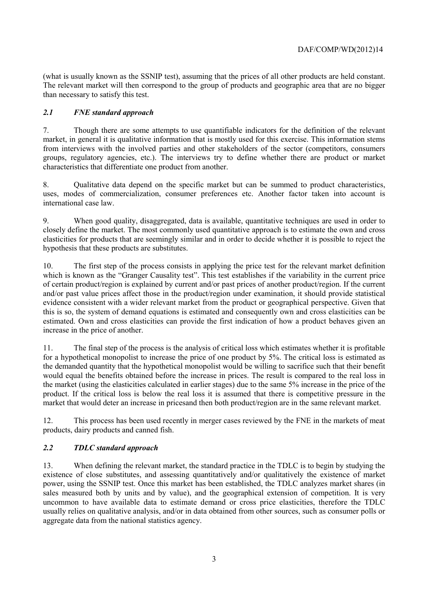(what is usually known as the SSNIP test), assuming that the prices of all other products are held constant. The relevant market will then correspond to the group of products and geographic area that are no bigger than necessary to satisfy this test.

## *2.1 FNE standard approach*

7. Though there are some attempts to use quantifiable indicators for the definition of the relevant market, in general it is qualitative information that is mostly used for this exercise. This information stems from interviews with the involved parties and other stakeholders of the sector (competitors, consumers groups, regulatory agencies, etc.). The interviews try to define whether there are product or market characteristics that differentiate one product from another.

8. Qualitative data depend on the specific market but can be summed to product characteristics, uses, modes of commercialization, consumer preferences etc. Another factor taken into account is international case law.

9. When good quality, disaggregated, data is available, quantitative techniques are used in order to closely define the market. The most commonly used quantitative approach is to estimate the own and cross elasticities for products that are seemingly similar and in order to decide whether it is possible to reject the hypothesis that these products are substitutes.

10. The first step of the process consists in applying the price test for the relevant market definition which is known as the "Granger Causality test". This test establishes if the variability in the current price of certain product/region is explained by current and/or past prices of another product/region. If the current and/or past value prices affect those in the product/region under examination, it should provide statistical evidence consistent with a wider relevant market from the product or geographical perspective. Given that this is so, the system of demand equations is estimated and consequently own and cross elasticities can be estimated. Own and cross elasticities can provide the first indication of how a product behaves given an increase in the price of another.

11. The final step of the process is the analysis of critical loss which estimates whether it is profitable for a hypothetical monopolist to increase the price of one product by 5%. The critical loss is estimated as the demanded quantity that the hypothetical monopolist would be willing to sacrifice such that their benefit would equal the benefits obtained before the increase in prices. The result is compared to the real loss in the market (using the elasticities calculated in earlier stages) due to the same 5% increase in the price of the product. If the critical loss is below the real loss it is assumed that there is competitive pressure in the market that would deter an increase in pricesand then both product/region are in the same relevant market.

12. This process has been used recently in merger cases reviewed by the FNE in the markets of meat products, dairy products and canned fish.

#### *2.2 TDLC standard approach*

13. When defining the relevant market, the standard practice in the TDLC is to begin by studying the existence of close substitutes, and assessing quantitatively and/or qualitatively the existence of market power, using the SSNIP test. Once this market has been established, the TDLC analyzes market shares (in sales measured both by units and by value), and the geographical extension of competition. It is very uncommon to have available data to estimate demand or cross price elasticities, therefore the TDLC usually relies on qualitative analysis, and/or in data obtained from other sources, such as consumer polls or aggregate data from the national statistics agency.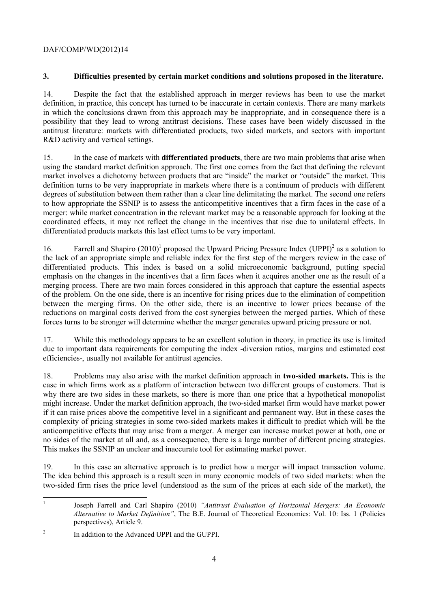## DAF/COMP/WD(2012)14

## **3. Difficulties presented by certain market conditions and solutions proposed in the literature.**

14. Despite the fact that the established approach in merger reviews has been to use the market definition, in practice, this concept has turned to be inaccurate in certain contexts. There are many markets in which the conclusions drawn from this approach may be inappropriate, and in consequence there is a possibility that they lead to wrong antitrust decisions. These cases have been widely discussed in the antitrust literature: markets with differentiated products, two sided markets, and sectors with important R&D activity and vertical settings.

15. In the case of markets with **differentiated products**, there are two main problems that arise when using the standard market definition approach. The first one comes from the fact that defining the relevant market involves a dichotomy between products that are "inside" the market or "outside" the market. This definition turns to be very inappropriate in markets where there is a continuum of products with different degrees of substitution between them rather than a clear line delimitating the market. The second one refers to how appropriate the SSNIP is to assess the anticompetitive incentives that a firm faces in the case of a merger: while market concentration in the relevant market may be a reasonable approach for looking at the coordinated effects, it may not reflect the change in the incentives that rise due to unilateral effects. In differentiated products markets this last effect turns to be very important.

16. Farrell and Shapiro  $(2010)^1$  proposed the Upward Pricing Pressure Index  $(UPPI)^2$  as a solution to the lack of an appropriate simple and reliable index for the first step of the mergers review in the case of differentiated products. This index is based on a solid microeconomic background, putting special emphasis on the changes in the incentives that a firm faces when it acquires another one as the result of a merging process. There are two main forces considered in this approach that capture the essential aspects of the problem. On the one side, there is an incentive for rising prices due to the elimination of competition between the merging firms. On the other side, there is an incentive to lower prices because of the reductions on marginal costs derived from the cost synergies between the merged parties. Which of these forces turns to be stronger will determine whether the merger generates upward pricing pressure or not.

17. While this methodology appears to be an excellent solution in theory, in practice its use is limited due to important data requirements for computing the index -diversion ratios, margins and estimated cost efficiencies-, usually not available for antitrust agencies.

18. Problems may also arise with the market definition approach in **two-sided markets.** This is the case in which firms work as a platform of interaction between two different groups of customers. That is why there are two sides in these markets, so there is more than one price that a hypothetical monopolist might increase. Under the market definition approach, the two-sided market firm would have market power if it can raise prices above the competitive level in a significant and permanent way. But in these cases the complexity of pricing strategies in some two-sided markets makes it difficult to predict which will be the anticompetitive effects that may arise from a merger. A merger can increase market power at both, one or no sides of the market at all and, as a consequence, there is a large number of different pricing strategies. This makes the SSNIP an unclear and inaccurate tool for estimating market power.

19. In this case an alternative approach is to predict how a merger will impact transaction volume. The idea behind this approach is a result seen in many economic models of two sided markets: when the two-sided firm rises the price level (understood as the sum of the prices at each side of the market), the

<sup>|&</sup>lt;br>|<br>| Joseph Farrell and Carl Shapiro (2010) *"Antitrust Evaluation of Horizontal Mergers: An Economic Alternative to Market Definition"*, The B.E. Journal of Theoretical Economics: Vol. 10: Iss. 1 (Policies perspectives), Article 9.

 $\overline{2}$ In addition to the Advanced UPPI and the GUPPI.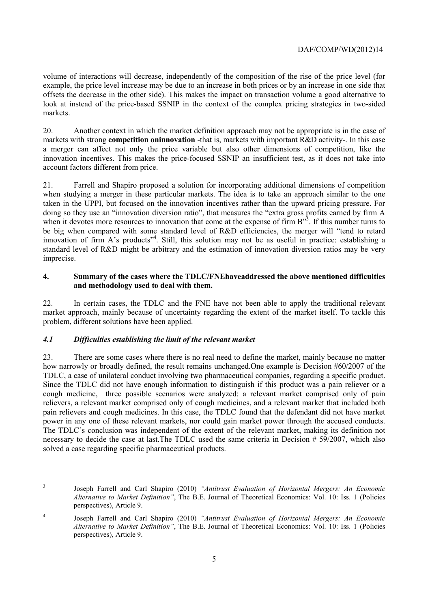## DAF/COMP/WD(2012)14

volume of interactions will decrease, independently of the composition of the rise of the price level (for example, the price level increase may be due to an increase in both prices or by an increase in one side that offsets the decrease in the other side). This makes the impact on transaction volume a good alternative to look at instead of the price-based SSNIP in the context of the complex pricing strategies in two-sided markets.

20. Another context in which the market definition approach may not be appropriate is in the case of markets with strong **competition oninnovation** -that is, markets with important R&D activity-. In this case a merger can affect not only the price variable but also other dimensions of competition, like the innovation incentives. This makes the price-focused SSNIP an insufficient test, as it does not take into account factors different from price.

21. Farrell and Shapiro proposed a solution for incorporating additional dimensions of competition when studying a merger in these particular markets. The idea is to take an approach similar to the one taken in the UPPI, but focused on the innovation incentives rather than the upward pricing pressure. For doing so they use an "innovation diversion ratio", that measures the "extra gross profits earned by firm A when it devotes more resources to innovation that come at the expense of firm B"<sup>3</sup>. If this number turns to be big when compared with some standard level of R&D efficiencies, the merger will "tend to retard innovation of firm A's products<sup>74</sup>. Still, this solution may not be as useful in practice: establishing a standard level of R&D might be arbitrary and the estimation of innovation diversion ratios may be very imprecise.

#### **4. Summary of the cases where the TDLC/FNEhaveaddressed the above mentioned difficulties and methodology used to deal with them.**

22. In certain cases, the TDLC and the FNE have not been able to apply the traditional relevant market approach, mainly because of uncertainty regarding the extent of the market itself. To tackle this problem, different solutions have been applied.

## *4.1 Difficulties establishing the limit of the relevant market*

3

23. There are some cases where there is no real need to define the market, mainly because no matter how narrowly or broadly defined, the result remains unchanged. One example is Decision #60/2007 of the TDLC, a case of unilateral conduct involving two pharmaceutical companies, regarding a specific product. Since the TDLC did not have enough information to distinguish if this product was a pain reliever or a cough medicine, three possible scenarios were analyzed: a relevant market comprised only of pain relievers, a relevant market comprised only of cough medicines, and a relevant market that included both pain relievers and cough medicines. In this case, the TDLC found that the defendant did not have market power in any one of these relevant markets, nor could gain market power through the accused conducts. The TDLC's conclusion was independent of the extent of the relevant market, making its definition not necessary to decide the case at last.The TDLC used the same criteria in Decision # 59/2007, which also solved a case regarding specific pharmaceutical products.

Joseph Farrell and Carl Shapiro (2010) *"Antitrust Evaluation of Horizontal Mergers: An Economic Alternative to Market Definition"*, The B.E. Journal of Theoretical Economics: Vol. 10: Iss. 1 (Policies perspectives), Article 9.

<sup>4</sup> Joseph Farrell and Carl Shapiro (2010) *"Antitrust Evaluation of Horizontal Mergers: An Economic Alternative to Market Definition"*, The B.E. Journal of Theoretical Economics: Vol. 10: Iss. 1 (Policies perspectives), Article 9.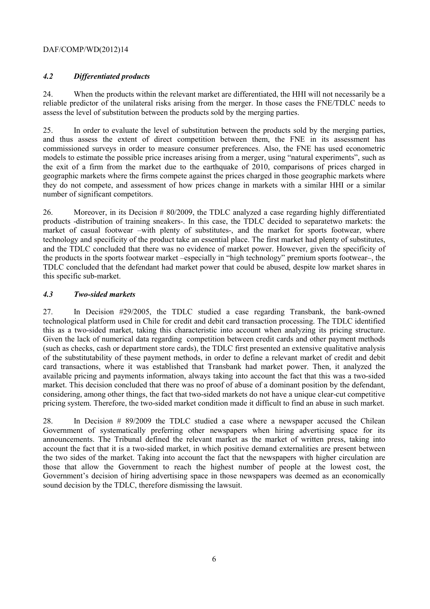## DAF/COMP/WD(2012)14

## *4.2 Differentiated products*

24. When the products within the relevant market are differentiated, the HHI will not necessarily be a reliable predictor of the unilateral risks arising from the merger. In those cases the FNE/TDLC needs to assess the level of substitution between the products sold by the merging parties.

25. In order to evaluate the level of substitution between the products sold by the merging parties, and thus assess the extent of direct competition between them, the FNE in its assessment has commissioned surveys in order to measure consumer preferences. Also, the FNE has used econometric models to estimate the possible price increases arising from a merger, using "natural experiments", such as the exit of a firm from the market due to the earthquake of 2010, comparisons of prices charged in geographic markets where the firms compete against the prices charged in those geographic markets where they do not compete, and assessment of how prices change in markets with a similar HHI or a similar number of significant competitors.

26. Moreover, in its Decision # 80/2009, the TDLC analyzed a case regarding highly differentiated products -distribution of training sneakers-. In this case, the TDLC decided to separatetwo markets: the market of casual footwear –with plenty of substitutes-, and the market for sports footwear, where technology and specificity of the product take an essential place. The first market had plenty of substitutes, and the TDLC concluded that there was no evidence of market power. However, given the specificity of the products in the sports footwear market –especially in "high technology" premium sports footwear–, the TDLC concluded that the defendant had market power that could be abused, despite low market shares in this specific sub-market.

#### *4.3 Two-sided markets*

27. In Decision #29/2005, the TDLC studied a case regarding Transbank, the bank-owned technological platform used in Chile for credit and debit card transaction processing. The TDLC identified this as a two-sided market, taking this characteristic into account when analyzing its pricing structure. Given the lack of numerical data regarding competition between credit cards and other payment methods (such as checks, cash or department store cards), the TDLC first presented an extensive qualitative analysis of the substitutability of these payment methods, in order to define a relevant market of credit and debit card transactions, where it was established that Transbank had market power. Then, it analyzed the available pricing and payments information, always taking into account the fact that this was a two-sided market. This decision concluded that there was no proof of abuse of a dominant position by the defendant, considering, among other things, the fact that two-sided markets do not have a unique clear-cut competitive pricing system. Therefore, the two-sided market condition made it difficult to find an abuse in such market.

28. In Decision # 89/2009 the TDLC studied a case where a newspaper accused the Chilean Government of systematically preferring other newspapers when hiring advertising space for its announcements. The Tribunal defined the relevant market as the market of written press, taking into account the fact that it is a two-sided market, in which positive demand externalities are present between the two sides of the market. Taking into account the fact that the newspapers with higher circulation are those that allow the Government to reach the highest number of people at the lowest cost, the Government's decision of hiring advertising space in those newspapers was deemed as an economically sound decision by the TDLC, therefore dismissing the lawsuit.